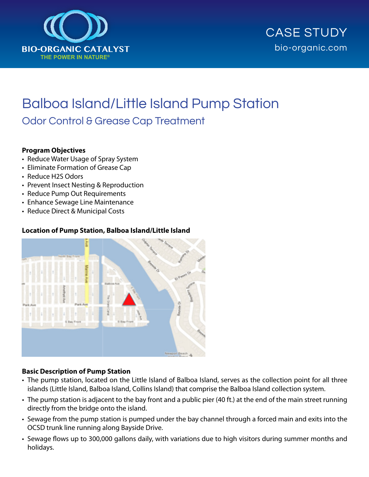



# Balboa Island/Little Island Pump Station Odor Control & Grease Cap Treatment

#### **Program Objectives**

- Reduce Water Usage of Spray System
- Eliminate Formation of Grease Cap
- Reduce H2S Odors
- Prevent Insect Nesting & Reproduction
- Reduce Pump Out Requirements
- Enhance Sewage Line Maintenance
- Reduce Direct & Municipal Costs

#### **Location of Pump Station, Balboa Island/Little Island**



#### **Basic Description of Pump Station**

- The pump station, located on the Little Island of Balboa Island, serves as the collection point for all three islands (Little Island, Balboa Island, Collins Island) that comprise the Balboa Island collection system.
- The pump station is adjacent to the bay front and a public pier (40 ft.) at the end of the main street running directly from the bridge onto the island.
- Sewage from the pump station is pumped under the bay channel through a forced main and exits into the OCSD trunk line running along Bayside Drive.
- Sewage flows up to 300,000 gallons daily, with variations due to high visitors during summer months and holidays.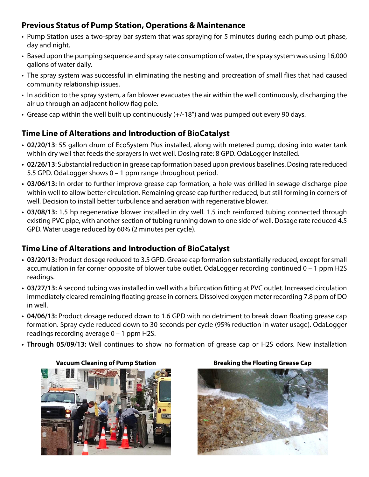## **Previous Status of Pump Station, Operations & Maintenance**

- Pump Station uses a two-spray bar system that was spraying for 5 minutes during each pump out phase, day and night.
- Based upon the pumping sequence and spray rate consumption of water, the spray system was using 16,000 gallons of water daily.
- The spray system was successful in eliminating the nesting and procreation of small flies that had caused community relationship issues.
- In addition to the spray system, a fan blower evacuates the air within the well continuously, discharging the air up through an adjacent hollow flag pole.
- Grease cap within the well built up continuously (+/-18") and was pumped out every 90 days.

# **Time Line of Alterations and Introduction of BioCatalyst**

- **• 02/20/13**: 55 gallon drum of EcoSystem Plus installed, along with metered pump, dosing into water tank within dry well that feeds the sprayers in wet well. Dosing rate: 8 GPD. OdaLogger installed.
- 02/26/13: Substantial reduction in grease cap formation based upon previous baselines. Dosing rate reduced 5.5 GPD. OdaLogger shows 0 – 1 ppm range throughout period.
- 03/06/13: In order to further improve grease cap formation, a hole was drilled in sewage discharge pipe within well to allow better circulation. Remaining grease cap further reduced, but still forming in corners of well. Decision to install better turbulence and aeration with regenerative blower.
- **• 03/08/13:** 1.5 hp regenerative blower installed in dry well. 1.5 inch reinforced tubing connected through existing PVC pipe, with another section of tubing running down to one side of well. Dosage rate reduced 4.5 GPD. Water usage reduced by 60% (2 minutes per cycle).

# **Time Line of Alterations and Introduction of BioCatalyst**

- **• 03/20/13:** Product dosage reduced to 3.5 GPD. Grease cap formation substantially reduced, except forsmall accumulation in far corner opposite of blower tube outlet. OdaLogger recording continued 0 – 1 ppm H2S readings.
- 03/27/13: A second tubing was installed in well with a bifurcation fitting at PVC outlet. Increased circulation immediately cleared remaining floating grease in corners. Dissolved oxygen meter recording 7.8 ppm of DO in well.
- **• 04/06/13:** Product dosage reduced down to 1.6 GPD with no detriment to break down floating grease cap formation. Spray cycle reduced down to 30 seconds per cycle (95% reduction in water usage). OdaLogger readings recording average 0 – 1 ppm H2S.
- Through 05/09/13: Well continues to show no formation of grease cap or H2S odors. New installation